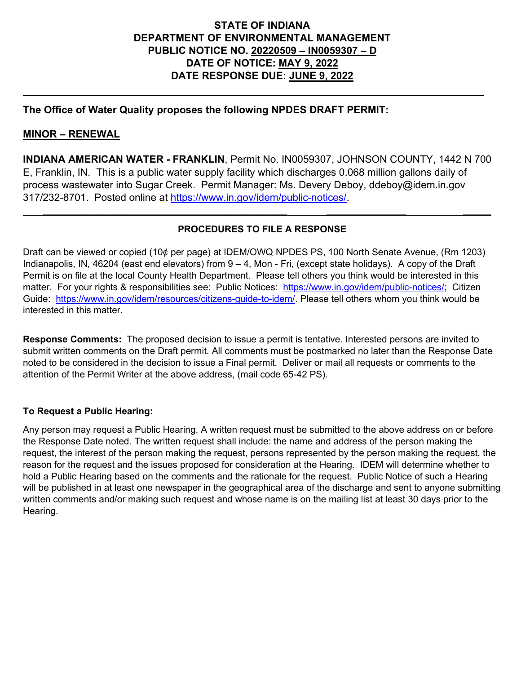## **STATE OF INDIANA DEPARTMENT OF ENVIRONMENTAL MANAGEMENT PUBLIC NOTICE NO. 20220509 – IN0059307 – D DATE OF NOTICE: MAY 9, 2022 DATE RESPONSE DUE: JUNE 9, 2022**

**\_\_\_\_\_\_\_\_\_\_\_\_\_\_\_\_\_\_\_\_\_\_\_\_\_\_\_\_\_\_\_\_\_\_\_\_\_\_\_\_\_\_\_\_\_\_\_\_\_\_\_\_\_\_\_\_\_\_ \_\_\_\_\_\_\_\_\_\_\_\_\_\_\_\_\_\_\_\_\_\_\_\_\_\_\_\_**

### **The Office of Water Quality proposes the following NPDES DRAFT PERMIT:**

#### **MINOR – RENEWAL**

**INDIANA AMERICAN WATER - FRANKLIN**, Permit No. IN0059307, JOHNSON COUNTY, 1442 N 700 E, Franklin, IN. This is a public water supply facility which discharges 0.068 million gallons daily of process wastewater into Sugar Creek. Permit Manager: Ms. Devery Deboy, ddeboy@idem.in.gov 317/232-8701. Posted online at [https://www.in.gov/idem/public-notices/.](https://www.in.gov/idem/public-notices/)

### **PROCEDURES TO FILE A RESPONSE**

 **\_\_\_\_\_\_\_\_\_\_\_\_\_\_\_\_\_\_\_\_\_\_\_\_\_\_\_\_\_\_\_\_\_\_\_\_\_\_\_\_\_\_\_ \_\_\_\_\_\_\_\_\_\_\_\_\_\_ \_\_\_\_\_**

Draft can be viewed or copied (10¢ per page) at IDEM/OWQ NPDES PS, 100 North Senate Avenue, (Rm 1203) Indianapolis, IN, 46204 (east end elevators) from 9 – 4, Mon - Fri, (except state holidays). A copy of the Draft Permit is on file at the local County Health Department. Please tell others you think would be interested in this matter. For your rights & responsibilities see: Public Notices: [https://www.in.gov/idem/public-notices/;](https://www.in.gov/idem/public-notices/) Citizen Guide: [https://www.in.gov/idem/resources/citizens-guide-to-idem/.](https://www.in.gov/idem/resources/citizens-guide-to-idem/) Please tell others whom you think would be interested in this matter.

**Response Comments:** The proposed decision to issue a permit is tentative. Interested persons are invited to submit written comments on the Draft permit. All comments must be postmarked no later than the Response Date noted to be considered in the decision to issue a Final permit. Deliver or mail all requests or comments to the attention of the Permit Writer at the above address, (mail code 65-42 PS).

#### **To Request a Public Hearing:**

Any person may request a Public Hearing. A written request must be submitted to the above address on or before the Response Date noted. The written request shall include: the name and address of the person making the request, the interest of the person making the request, persons represented by the person making the request, the reason for the request and the issues proposed for consideration at the Hearing. IDEM will determine whether to hold a Public Hearing based on the comments and the rationale for the request. Public Notice of such a Hearing will be published in at least one newspaper in the geographical area of the discharge and sent to anyone submitting written comments and/or making such request and whose name is on the mailing list at least 30 days prior to the Hearing.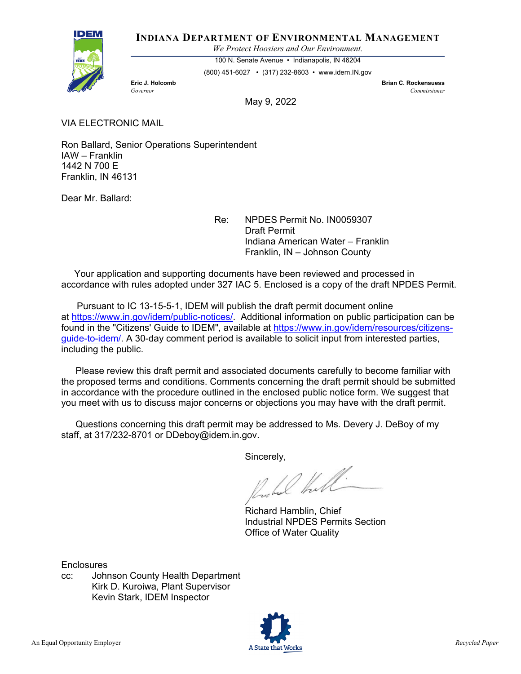

#### **INDIANA DEPARTMENT OF ENVIRONMENTAL MANAGEMENT**

*We Protect Hoosiers and Our Environment.*

100 N. Senate Avenue • Indianapolis, IN 46204

(800) 451-6027 • (317) 232-8603 • www.idem.IN.gov

**Eric J. Holcomb Brian C. Rockensuess** *Governor Commissioner* 

May 9, 2022

VIA ELECTRONIC MAIL

Ron Ballard, Senior Operations Superintendent IAW – Franklin 1442 N 700 E Franklin, IN 46131

Dear Mr. Ballard:

Re: NPDES Permit No. IN0059307 Draft Permit Indiana American Water – Franklin Franklin, IN – Johnson County

 Your application and supporting documents have been reviewed and processed in accordance with rules adopted under 327 IAC 5. Enclosed is a copy of the draft NPDES Permit.

 Pursuant to IC 13-15-5-1, IDEM will publish the draft permit document online at [https://www.in.gov/idem/public-notices/.](https://www.in.gov/idem/public-notices/) Additional information on public participation can be found in the "Citizens' Guide to IDEM", available at [https://www.in.gov/idem/resources/citizens](https://www.in.gov/idem/resources/citizens-guide-to-idem/)[guide-to-idem/.](https://www.in.gov/idem/resources/citizens-guide-to-idem/) A 30-day comment period is available to solicit input from interested parties, including the public.

 Please review this draft permit and associated documents carefully to become familiar with the proposed terms and conditions. Comments concerning the draft permit should be submitted in accordance with the procedure outlined in the enclosed public notice form. We suggest that you meet with us to discuss major concerns or objections you may have with the draft permit.

 Questions concerning this draft permit may be addressed to Ms. Devery J. DeBoy of my staff, at 317/232-8701 or DDeboy@idem.in.gov.

Sincerely,

what that

Richard Hamblin, Chief Industrial NPDES Permits Section Office of Water Quality

**Enclosures** 

cc: Johnson County Health Department Kirk D. Kuroiwa, Plant Supervisor Kevin Stark, IDEM Inspector

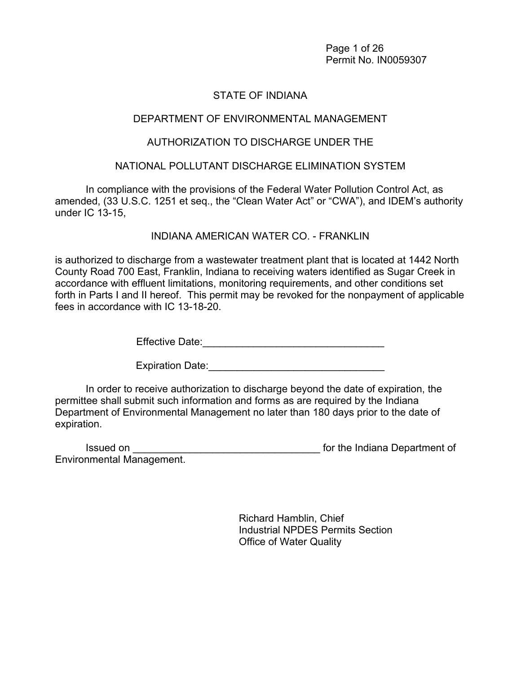Page 1 of 26 Permit No. IN0059307

### STATE OF INDIANA

#### DEPARTMENT OF ENVIRONMENTAL MANAGEMENT

#### AUTHORIZATION TO DISCHARGE UNDER THE

#### NATIONAL POLLUTANT DISCHARGE ELIMINATION SYSTEM

In compliance with the provisions of the Federal Water Pollution Control Act, as amended, (33 U.S.C. 1251 et seq., the "Clean Water Act" or "CWA"), and IDEM's authority under IC 13-15,

INDIANA AMERICAN WATER CO. - FRANKLIN

is authorized to discharge from a wastewater treatment plant that is located at 1442 North County Road 700 East, Franklin, Indiana to receiving waters identified as Sugar Creek in accordance with effluent limitations, monitoring requirements, and other conditions set forth in Parts I and II hereof. This permit may be revoked for the nonpayment of applicable fees in accordance with IC 13-18-20.

Effective Date:\_\_\_\_\_\_\_\_\_\_\_\_\_\_\_\_\_\_\_\_\_\_\_\_\_\_\_\_\_\_\_\_

Expiration Date:\_\_\_\_\_\_\_\_\_\_\_\_\_\_\_\_\_\_\_\_\_\_\_\_\_\_\_\_\_\_\_

In order to receive authorization to discharge beyond the date of expiration, the permittee shall submit such information and forms as are required by the Indiana Department of Environmental Management no later than 180 days prior to the date of expiration.

| Issued on                        | for the Indiana Department of |
|----------------------------------|-------------------------------|
| <b>Environmental Management.</b> |                               |

 Richard Hamblin, Chief Industrial NPDES Permits Section Office of Water Quality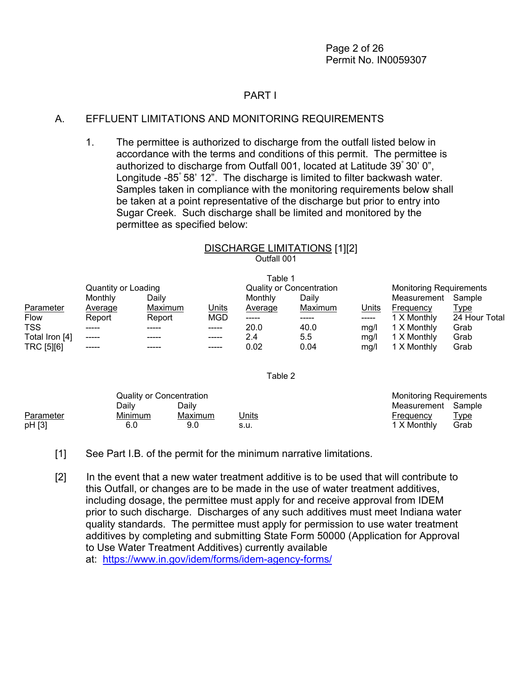#### PART I

#### A. EFFLUENT LIMITATIONS AND MONITORING REQUIREMENTS

1. The permittee is authorized to discharge from the outfall listed below in accordance with the terms and conditions of this permit. The permittee is authorized to discharge from Outfall 001, located at Latitude 39° 30' 0", Longitude -85° 58' 12". The discharge is limited to filter backwash water. Samples taken in compliance with the monitoring requirements below shall be taken at a point representative of the discharge but prior to entry into Sugar Creek. Such discharge shall be limited and monitored by the permittee as specified below:

# DISCHARGE LIMITATIONS [1][2] Outfall 001

Table 1

|                |                     |         |              | l able 1       |                                 |       |                                |               |
|----------------|---------------------|---------|--------------|----------------|---------------------------------|-------|--------------------------------|---------------|
|                | Quantity or Loading |         |              |                | <b>Quality or Concentration</b> |       | <b>Monitoring Requirements</b> |               |
|                | Monthly             | Dailv   |              | Monthly        | Dailv                           |       | Measurement                    | Sample        |
| Parameter      | Average             | Maximum | <u>Units</u> | <b>Average</b> | Maximum                         | Units | Frequency                      | <u>Type</u>   |
| <b>Flow</b>    | Report              | Report  | <b>MGD</b>   | -----          | -----                           |       | 1 X Monthly                    | 24 Hour Total |
| <b>TSS</b>     |                     |         | -----        | 20.0           | 40.0                            | ma/l  | 1 X Monthly                    | Grab          |
| Total Iron [4] | -----               |         | -----        | 2.4            | $5.5\,$                         | ma/l  | 1 X Monthly                    | Grab          |
| TRC [5][6]     | -----               |         | -----        | 0.02           | 0.04                            | mg/l  | 1 X Monthly                    | Grab          |

#### Table 2

|           | Quality or Concentration |         |              | <b>Monitoring Requirements</b> |             |
|-----------|--------------------------|---------|--------------|--------------------------------|-------------|
|           | Dailv                    | Dailv   |              | Measurement Sample             |             |
| Parameter | Minimum                  | Maximum | <u>Units</u> | Frequency                      | <u>Type</u> |
| pH [3]    | 6.0                      | 9.0     | s.u.         | 1 X Monthly                    | Grab        |

[1] See Part I.B. of the permit for the minimum narrative limitations.

[2] In the event that a new water treatment additive is to be used that will contribute to this Outfall, or changes are to be made in the use of water treatment additives, including dosage, the permittee must apply for and receive approval from IDEM prior to such discharge. Discharges of any such additives must meet Indiana water quality standards. The permittee must apply for permission to use water treatment additives by completing and submitting State Form 50000 (Application for Approval to Use Water Treatment Additives) currently available

at: [https://www.in.gov/idem/forms/idem-agency-forms/](http://www.in.gov/idem/5157.htm)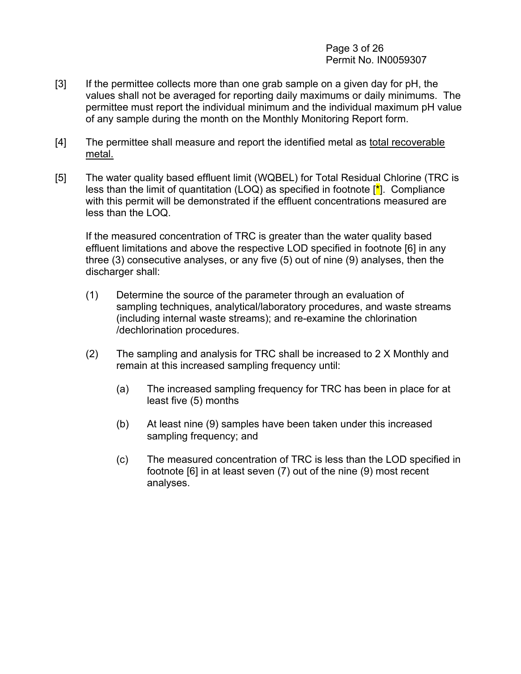#### Page 3 of 26 Permit No. IN0059307

- [3] If the permittee collects more than one grab sample on a given day for pH, the values shall not be averaged for reporting daily maximums or daily minimums. The permittee must report the individual minimum and the individual maximum pH value of any sample during the month on the Monthly Monitoring Report form.
- [4] The permittee shall measure and report the identified metal as total recoverable metal.
- [5] The water quality based effluent limit (WQBEL) for Total Residual Chlorine (TRC is less than the limit of quantitation (LOQ) as specified in footnote  $\left[\frac{*}{\cdot}\right]$ . Compliance with this permit will be demonstrated if the effluent concentrations measured are less than the LOQ.

If the measured concentration of TRC is greater than the water quality based effluent limitations and above the respective LOD specified in footnote [6] in any three (3) consecutive analyses, or any five (5) out of nine (9) analyses, then the discharger shall:

- (1) Determine the source of the parameter through an evaluation of sampling techniques, analytical/laboratory procedures, and waste streams (including internal waste streams); and re-examine the chlorination /dechlorination procedures.
- (2) The sampling and analysis for TRC shall be increased to 2 X Monthly and remain at this increased sampling frequency until:
	- (a) The increased sampling frequency for TRC has been in place for at least five (5) months
	- (b) At least nine (9) samples have been taken under this increased sampling frequency; and
	- (c) The measured concentration of TRC is less than the LOD specified in footnote [6] in at least seven (7) out of the nine (9) most recent analyses.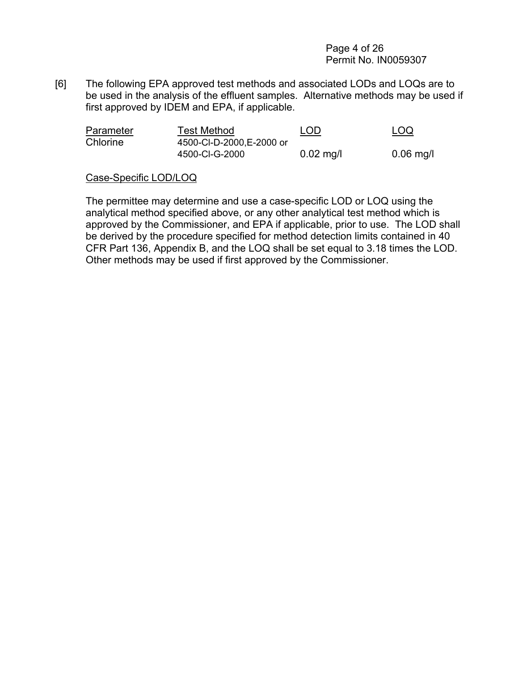Page 4 of 26 Permit No. IN0059307

[6] The following EPA approved test methods and associated LODs and LOQs are to be used in the analysis of the effluent samples. Alternative methods may be used if first approved by IDEM and EPA, if applicable.

| Parameter | Test Method               | <b>LOD</b>          | <u>LOQ</u>  |
|-----------|---------------------------|---------------------|-------------|
| Chlorine  | 4500-CI-D-2000, E-2000 or |                     |             |
|           | 4500-CI-G-2000            | $0.02 \text{ mg/l}$ | $0.06$ mg/l |

#### Case-Specific LOD/LOQ

The permittee may determine and use a case-specific LOD or LOQ using the analytical method specified above, or any other analytical test method which is approved by the Commissioner, and EPA if applicable, prior to use. The LOD shall be derived by the procedure specified for method detection limits contained in 40 CFR Part 136, Appendix B, and the LOQ shall be set equal to 3.18 times the LOD. Other methods may be used if first approved by the Commissioner.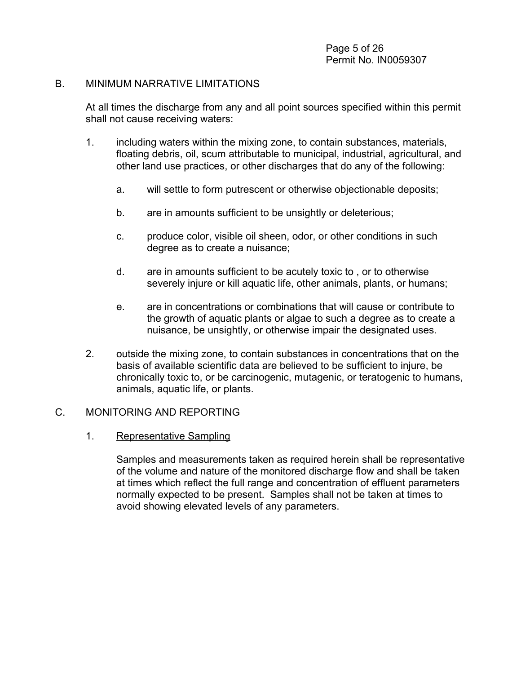#### B. MINIMUM NARRATIVE LIMITATIONS

At all times the discharge from any and all point sources specified within this permit shall not cause receiving waters:

- 1. including waters within the mixing zone, to contain substances, materials, floating debris, oil, scum attributable to municipal, industrial, agricultural, and other land use practices, or other discharges that do any of the following:
	- a. will settle to form putrescent or otherwise objectionable deposits;
	- b. are in amounts sufficient to be unsightly or deleterious;
	- c. produce color, visible oil sheen, odor, or other conditions in such degree as to create a nuisance;
	- d. are in amounts sufficient to be acutely toxic to , or to otherwise severely injure or kill aquatic life, other animals, plants, or humans;
	- e. are in concentrations or combinations that will cause or contribute to the growth of aquatic plants or algae to such a degree as to create a nuisance, be unsightly, or otherwise impair the designated uses.
- 2. outside the mixing zone, to contain substances in concentrations that on the basis of available scientific data are believed to be sufficient to injure, be chronically toxic to, or be carcinogenic, mutagenic, or teratogenic to humans, animals, aquatic life, or plants.

#### C. MONITORING AND REPORTING

1. Representative Sampling

Samples and measurements taken as required herein shall be representative of the volume and nature of the monitored discharge flow and shall be taken at times which reflect the full range and concentration of effluent parameters normally expected to be present. Samples shall not be taken at times to avoid showing elevated levels of any parameters.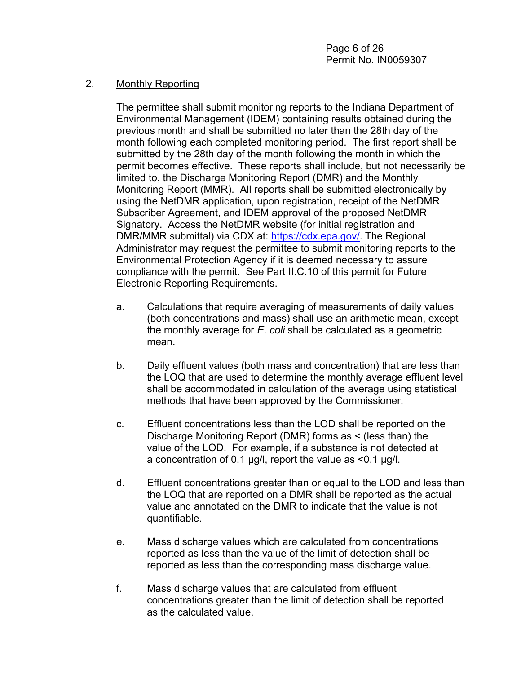#### 2. Monthly Reporting

The permittee shall submit monitoring reports to the Indiana Department of Environmental Management (IDEM) containing results obtained during the previous month and shall be submitted no later than the 28th day of the month following each completed monitoring period. The first report shall be submitted by the 28th day of the month following the month in which the permit becomes effective. These reports shall include, but not necessarily be limited to, the Discharge Monitoring Report (DMR) and the Monthly Monitoring Report (MMR). All reports shall be submitted electronically by using the NetDMR application, upon registration, receipt of the NetDMR Subscriber Agreement, and IDEM approval of the proposed NetDMR Signatory. Access the NetDMR website (for initial registration and DMR/MMR submittal) via CDX at: [https://cdx.epa.gov/.](https://cdx.epa.gov/) The Regional Administrator may request the permittee to submit monitoring reports to the Environmental Protection Agency if it is deemed necessary to assure compliance with the permit. See Part II.C.10 of this permit for Future Electronic Reporting Requirements.

- a. Calculations that require averaging of measurements of daily values (both concentrations and mass) shall use an arithmetic mean, except the monthly average for *E. coli* shall be calculated as a geometric mean.
- b. Daily effluent values (both mass and concentration) that are less than the LOQ that are used to determine the monthly average effluent level shall be accommodated in calculation of the average using statistical methods that have been approved by the Commissioner.
- c. Effluent concentrations less than the LOD shall be reported on the Discharge Monitoring Report (DMR) forms as < (less than) the value of the LOD. For example, if a substance is not detected at a concentration of 0.1 µg/l, report the value as <0.1 µg/l.
- d. Effluent concentrations greater than or equal to the LOD and less than the LOQ that are reported on a DMR shall be reported as the actual value and annotated on the DMR to indicate that the value is not quantifiable.
- e. Mass discharge values which are calculated from concentrations reported as less than the value of the limit of detection shall be reported as less than the corresponding mass discharge value.
- f. Mass discharge values that are calculated from effluent concentrations greater than the limit of detection shall be reported as the calculated value.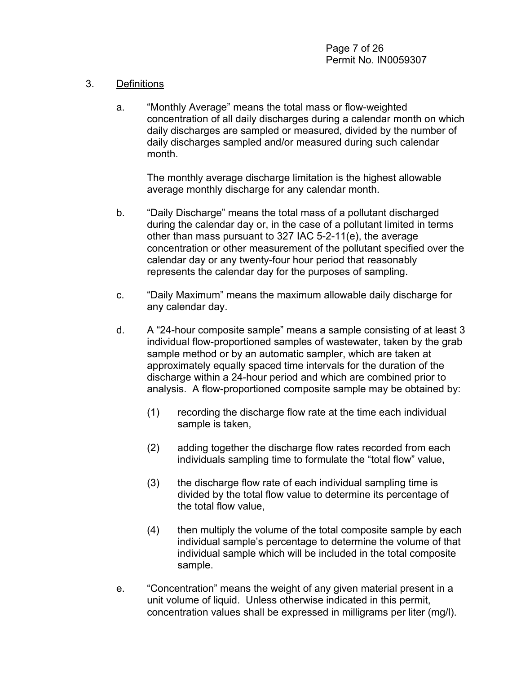#### 3. Definitions

a. "Monthly Average" means the total mass or flow-weighted concentration of all daily discharges during a calendar month on which daily discharges are sampled or measured, divided by the number of daily discharges sampled and/or measured during such calendar month.

The monthly average discharge limitation is the highest allowable average monthly discharge for any calendar month.

- b. "Daily Discharge" means the total mass of a pollutant discharged during the calendar day or, in the case of a pollutant limited in terms other than mass pursuant to 327 IAC 5-2-11(e), the average concentration or other measurement of the pollutant specified over the calendar day or any twenty-four hour period that reasonably represents the calendar day for the purposes of sampling.
- c. "Daily Maximum" means the maximum allowable daily discharge for any calendar day.
- d. A "24-hour composite sample" means a sample consisting of at least 3 individual flow-proportioned samples of wastewater, taken by the grab sample method or by an automatic sampler, which are taken at approximately equally spaced time intervals for the duration of the discharge within a 24-hour period and which are combined prior to analysis. A flow-proportioned composite sample may be obtained by:
	- (1) recording the discharge flow rate at the time each individual sample is taken,
	- (2) adding together the discharge flow rates recorded from each individuals sampling time to formulate the "total flow" value,
	- (3) the discharge flow rate of each individual sampling time is divided by the total flow value to determine its percentage of the total flow value,
	- (4) then multiply the volume of the total composite sample by each individual sample's percentage to determine the volume of that individual sample which will be included in the total composite sample.
- e. "Concentration" means the weight of any given material present in a unit volume of liquid. Unless otherwise indicated in this permit, concentration values shall be expressed in milligrams per liter (mg/l).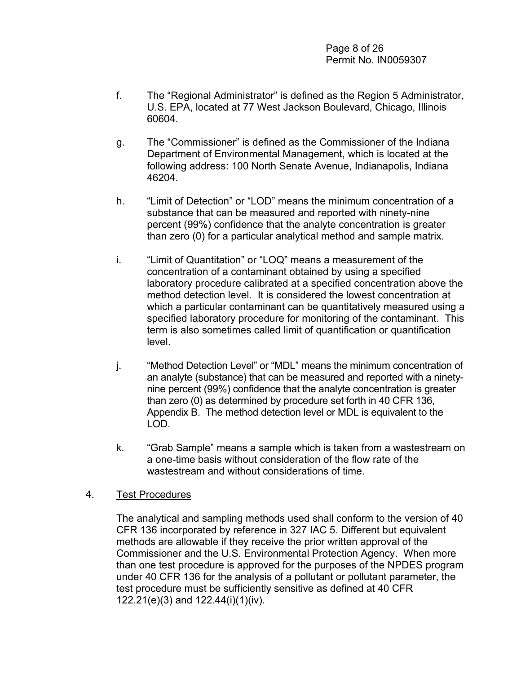Page 8 of 26 Permit No. IN0059307

- f. The "Regional Administrator" is defined as the Region 5 Administrator, U.S. EPA, located at 77 West Jackson Boulevard, Chicago, Illinois 60604.
- g. The "Commissioner" is defined as the Commissioner of the Indiana Department of Environmental Management, which is located at the following address: 100 North Senate Avenue, Indianapolis, Indiana 46204.
- h. "Limit of Detection" or "LOD" means the minimum concentration of a substance that can be measured and reported with ninety-nine percent (99%) confidence that the analyte concentration is greater than zero (0) for a particular analytical method and sample matrix.
- i. "Limit of Quantitation" or "LOQ" means a measurement of the concentration of a contaminant obtained by using a specified laboratory procedure calibrated at a specified concentration above the method detection level. It is considered the lowest concentration at which a particular contaminant can be quantitatively measured using a specified laboratory procedure for monitoring of the contaminant. This term is also sometimes called limit of quantification or quantification level.
- j. "Method Detection Level" or "MDL" means the minimum concentration of an analyte (substance) that can be measured and reported with a ninetynine percent (99%) confidence that the analyte concentration is greater than zero (0) as determined by procedure set forth in 40 CFR 136, Appendix B. The method detection level or MDL is equivalent to the LOD.
- k. "Grab Sample" means a sample which is taken from a wastestream on a one-time basis without consideration of the flow rate of the wastestream and without considerations of time.

#### 4. Test Procedures

The analytical and sampling methods used shall conform to the version of 40 CFR 136 incorporated by reference in 327 IAC 5. Different but equivalent methods are allowable if they receive the prior written approval of the Commissioner and the U.S. Environmental Protection Agency. When more than one test procedure is approved for the purposes of the NPDES program under 40 CFR 136 for the analysis of a pollutant or pollutant parameter, the test procedure must be sufficiently sensitive as defined at 40 CFR 122.21(e)(3) and 122.44(i)(1)(iv).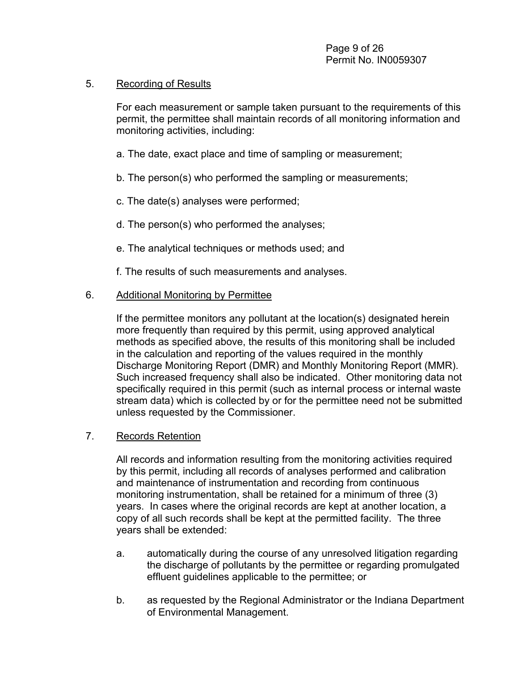#### 5. Recording of Results

For each measurement or sample taken pursuant to the requirements of this permit, the permittee shall maintain records of all monitoring information and monitoring activities, including:

- a. The date, exact place and time of sampling or measurement;
- b. The person(s) who performed the sampling or measurements;
- c. The date(s) analyses were performed;
- d. The person(s) who performed the analyses;
- e. The analytical techniques or methods used; and
- f. The results of such measurements and analyses.

#### 6. Additional Monitoring by Permittee

If the permittee monitors any pollutant at the location(s) designated herein more frequently than required by this permit, using approved analytical methods as specified above, the results of this monitoring shall be included in the calculation and reporting of the values required in the monthly Discharge Monitoring Report (DMR) and Monthly Monitoring Report (MMR). Such increased frequency shall also be indicated. Other monitoring data not specifically required in this permit (such as internal process or internal waste stream data) which is collected by or for the permittee need not be submitted unless requested by the Commissioner.

#### 7. Records Retention

All records and information resulting from the monitoring activities required by this permit, including all records of analyses performed and calibration and maintenance of instrumentation and recording from continuous monitoring instrumentation, shall be retained for a minimum of three (3) years. In cases where the original records are kept at another location, a copy of all such records shall be kept at the permitted facility. The three years shall be extended:

- a. automatically during the course of any unresolved litigation regarding the discharge of pollutants by the permittee or regarding promulgated effluent guidelines applicable to the permittee; or
- b. as requested by the Regional Administrator or the Indiana Department of Environmental Management.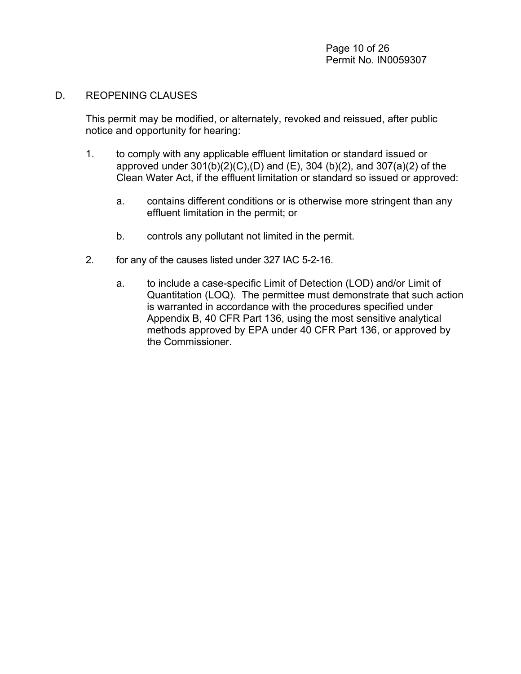#### D. REOPENING CLAUSES

This permit may be modified, or alternately, revoked and reissued, after public notice and opportunity for hearing:

- 1. to comply with any applicable effluent limitation or standard issued or approved under 301(b)(2)(C),(D) and (E), 304 (b)(2), and 307(a)(2) of the Clean Water Act, if the effluent limitation or standard so issued or approved:
	- a. contains different conditions or is otherwise more stringent than any effluent limitation in the permit; or
	- b. controls any pollutant not limited in the permit.
- 2. for any of the causes listed under 327 IAC 5-2-16.
	- a. to include a case-specific Limit of Detection (LOD) and/or Limit of Quantitation (LOQ). The permittee must demonstrate that such action is warranted in accordance with the procedures specified under Appendix B, 40 CFR Part 136, using the most sensitive analytical methods approved by EPA under 40 CFR Part 136, or approved by the Commissioner.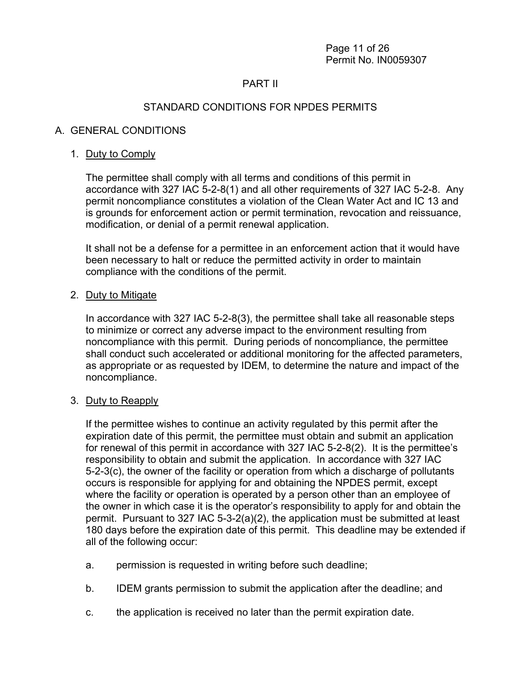Page 11 of 26 Permit No. IN0059307

#### PART II

### STANDARD CONDITIONS FOR NPDES PERMITS

#### A. GENERAL CONDITIONS

#### 1. Duty to Comply

The permittee shall comply with all terms and conditions of this permit in accordance with 327 IAC 5-2-8(1) and all other requirements of 327 IAC 5-2-8. Any permit noncompliance constitutes a violation of the Clean Water Act and IC 13 and is grounds for enforcement action or permit termination, revocation and reissuance, modification, or denial of a permit renewal application.

It shall not be a defense for a permittee in an enforcement action that it would have been necessary to halt or reduce the permitted activity in order to maintain compliance with the conditions of the permit.

#### 2. Duty to Mitigate

In accordance with 327 IAC 5-2-8(3), the permittee shall take all reasonable steps to minimize or correct any adverse impact to the environment resulting from noncompliance with this permit. During periods of noncompliance, the permittee shall conduct such accelerated or additional monitoring for the affected parameters, as appropriate or as requested by IDEM, to determine the nature and impact of the noncompliance.

#### 3. Duty to Reapply

If the permittee wishes to continue an activity regulated by this permit after the expiration date of this permit, the permittee must obtain and submit an application for renewal of this permit in accordance with 327 IAC 5-2-8(2). It is the permittee's responsibility to obtain and submit the application. In accordance with 327 IAC 5-2-3(c), the owner of the facility or operation from which a discharge of pollutants occurs is responsible for applying for and obtaining the NPDES permit, except where the facility or operation is operated by a person other than an employee of the owner in which case it is the operator's responsibility to apply for and obtain the permit. Pursuant to 327 IAC 5-3-2(a)(2), the application must be submitted at least 180 days before the expiration date of this permit. This deadline may be extended if all of the following occur:

- a. permission is requested in writing before such deadline;
- b. IDEM grants permission to submit the application after the deadline; and
- c. the application is received no later than the permit expiration date.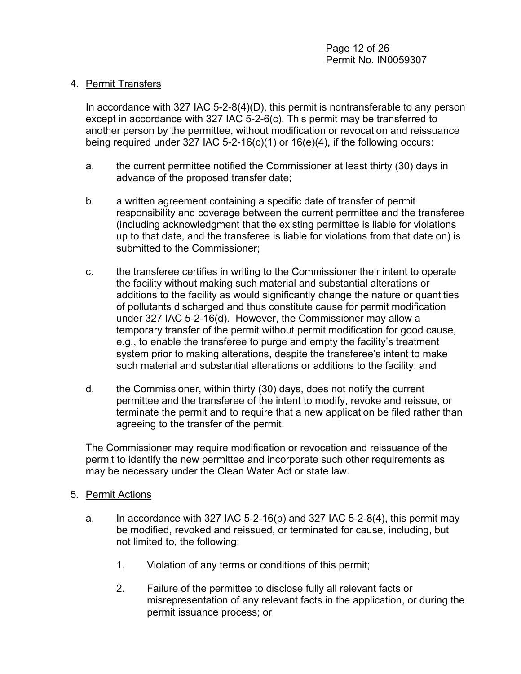#### 4. Permit Transfers

In accordance with 327 IAC 5-2-8(4)(D), this permit is nontransferable to any person except in accordance with 327 IAC 5-2-6(c). This permit may be transferred to another person by the permittee, without modification or revocation and reissuance being required under 327 IAC 5-2-16(c)(1) or  $16(e)(4)$ , if the following occurs:

- a. the current permittee notified the Commissioner at least thirty (30) days in advance of the proposed transfer date;
- b. a written agreement containing a specific date of transfer of permit responsibility and coverage between the current permittee and the transferee (including acknowledgment that the existing permittee is liable for violations up to that date, and the transferee is liable for violations from that date on) is submitted to the Commissioner;
- c. the transferee certifies in writing to the Commissioner their intent to operate the facility without making such material and substantial alterations or additions to the facility as would significantly change the nature or quantities of pollutants discharged and thus constitute cause for permit modification under 327 IAC 5-2-16(d). However, the Commissioner may allow a temporary transfer of the permit without permit modification for good cause, e.g., to enable the transferee to purge and empty the facility's treatment system prior to making alterations, despite the transferee's intent to make such material and substantial alterations or additions to the facility; and
- d. the Commissioner, within thirty (30) days, does not notify the current permittee and the transferee of the intent to modify, revoke and reissue, or terminate the permit and to require that a new application be filed rather than agreeing to the transfer of the permit.

The Commissioner may require modification or revocation and reissuance of the permit to identify the new permittee and incorporate such other requirements as may be necessary under the Clean Water Act or state law.

#### 5. Permit Actions

- a. In accordance with 327 IAC 5-2-16(b) and 327 IAC 5-2-8(4), this permit may be modified, revoked and reissued, or terminated for cause, including, but not limited to, the following:
	- 1. Violation of any terms or conditions of this permit;
	- 2. Failure of the permittee to disclose fully all relevant facts or misrepresentation of any relevant facts in the application, or during the permit issuance process; or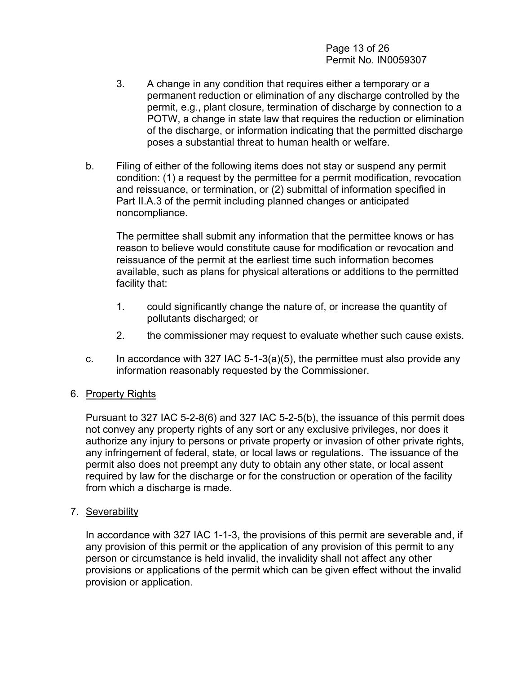Page 13 of 26 Permit No. IN0059307

- 3. A change in any condition that requires either a temporary or a permanent reduction or elimination of any discharge controlled by the permit, e.g., plant closure, termination of discharge by connection to a POTW, a change in state law that requires the reduction or elimination of the discharge, or information indicating that the permitted discharge poses a substantial threat to human health or welfare.
- b. Filing of either of the following items does not stay or suspend any permit condition: (1) a request by the permittee for a permit modification, revocation and reissuance, or termination, or (2) submittal of information specified in Part II.A.3 of the permit including planned changes or anticipated noncompliance.

The permittee shall submit any information that the permittee knows or has reason to believe would constitute cause for modification or revocation and reissuance of the permit at the earliest time such information becomes available, such as plans for physical alterations or additions to the permitted facility that:

- 1. could significantly change the nature of, or increase the quantity of pollutants discharged; or
- 2. the commissioner may request to evaluate whether such cause exists.
- c. In accordance with 327 IAC 5-1-3(a)(5), the permittee must also provide any information reasonably requested by the Commissioner.

#### 6. Property Rights

Pursuant to 327 IAC 5-2-8(6) and 327 IAC 5-2-5(b), the issuance of this permit does not convey any property rights of any sort or any exclusive privileges, nor does it authorize any injury to persons or private property or invasion of other private rights, any infringement of federal, state, or local laws or regulations. The issuance of the permit also does not preempt any duty to obtain any other state, or local assent required by law for the discharge or for the construction or operation of the facility from which a discharge is made.

7. Severability

In accordance with 327 IAC 1-1-3, the provisions of this permit are severable and, if any provision of this permit or the application of any provision of this permit to any person or circumstance is held invalid, the invalidity shall not affect any other provisions or applications of the permit which can be given effect without the invalid provision or application.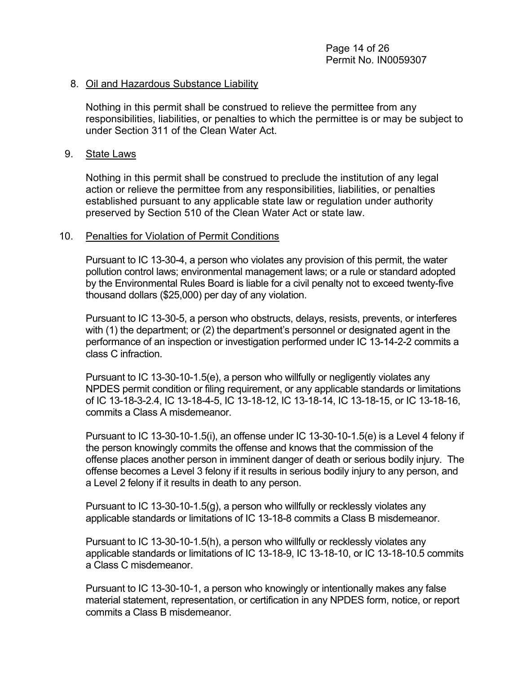#### 8. Oil and Hazardous Substance Liability

Nothing in this permit shall be construed to relieve the permittee from any responsibilities, liabilities, or penalties to which the permittee is or may be subject to under Section 311 of the Clean Water Act.

#### 9. State Laws

Nothing in this permit shall be construed to preclude the institution of any legal action or relieve the permittee from any responsibilities, liabilities, or penalties established pursuant to any applicable state law or regulation under authority preserved by Section 510 of the Clean Water Act or state law.

#### 10. Penalties for Violation of Permit Conditions

Pursuant to IC 13-30-4, a person who violates any provision of this permit, the water pollution control laws; environmental management laws; or a rule or standard adopted by the Environmental Rules Board is liable for a civil penalty not to exceed twenty-five thousand dollars (\$25,000) per day of any violation.

Pursuant to IC 13-30-5, a person who obstructs, delays, resists, prevents, or interferes with (1) the department; or (2) the department's personnel or designated agent in the performance of an inspection or investigation performed under IC 13-14-2-2 commits a class C infraction.

Pursuant to IC 13-30-10-1.5(e), a person who willfully or negligently violates any NPDES permit condition or filing requirement, or any applicable standards or limitations of IC 13-18-3-2.4, IC 13-18-4-5, IC 13-18-12, IC 13-18-14, IC 13-18-15, or IC 13-18-16, commits a Class A misdemeanor.

Pursuant to IC 13-30-10-1.5(i), an offense under IC 13-30-10-1.5(e) is a Level 4 felony if the person knowingly commits the offense and knows that the commission of the offense places another person in imminent danger of death or serious bodily injury. The offense becomes a Level 3 felony if it results in serious bodily injury to any person, and a Level 2 felony if it results in death to any person.

Pursuant to IC 13-30-10-1.5(g), a person who willfully or recklessly violates any applicable standards or limitations of IC 13-18-8 commits a Class B misdemeanor.

Pursuant to IC 13-30-10-1.5(h), a person who willfully or recklessly violates any applicable standards or limitations of IC 13-18-9, IC 13-18-10, or IC 13-18-10.5 commits a Class C misdemeanor.

Pursuant to IC 13-30-10-1, a person who knowingly or intentionally makes any false material statement, representation, or certification in any NPDES form, notice, or report commits a Class B misdemeanor.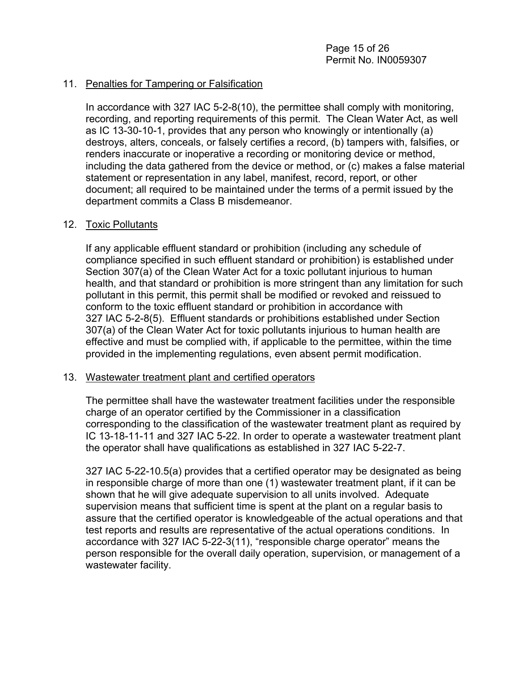#### 11. Penalties for Tampering or Falsification

In accordance with 327 IAC 5-2-8(10), the permittee shall comply with monitoring, recording, and reporting requirements of this permit. The Clean Water Act, as well as IC 13-30-10-1, provides that any person who knowingly or intentionally (a) destroys, alters, conceals, or falsely certifies a record, (b) tampers with, falsifies, or renders inaccurate or inoperative a recording or monitoring device or method, including the data gathered from the device or method, or (c) makes a false material statement or representation in any label, manifest, record, report, or other document; all required to be maintained under the terms of a permit issued by the department commits a Class B misdemeanor.

#### 12. Toxic Pollutants

If any applicable effluent standard or prohibition (including any schedule of compliance specified in such effluent standard or prohibition) is established under Section 307(a) of the Clean Water Act for a toxic pollutant injurious to human health, and that standard or prohibition is more stringent than any limitation for such pollutant in this permit, this permit shall be modified or revoked and reissued to conform to the toxic effluent standard or prohibition in accordance with 327 IAC 5-2-8(5). Effluent standards or prohibitions established under Section 307(a) of the Clean Water Act for toxic pollutants injurious to human health are effective and must be complied with, if applicable to the permittee, within the time provided in the implementing regulations, even absent permit modification.

#### 13. Wastewater treatment plant and certified operators

The permittee shall have the wastewater treatment facilities under the responsible charge of an operator certified by the Commissioner in a classification corresponding to the classification of the wastewater treatment plant as required by IC 13-18-11-11 and 327 IAC 5-22. In order to operate a wastewater treatment plant the operator shall have qualifications as established in 327 IAC 5-22-7.

327 IAC 5-22-10.5(a) provides that a certified operator may be designated as being in responsible charge of more than one (1) wastewater treatment plant, if it can be shown that he will give adequate supervision to all units involved. Adequate supervision means that sufficient time is spent at the plant on a regular basis to assure that the certified operator is knowledgeable of the actual operations and that test reports and results are representative of the actual operations conditions. In accordance with 327 IAC 5-22-3(11), "responsible charge operator" means the person responsible for the overall daily operation, supervision, or management of a wastewater facility.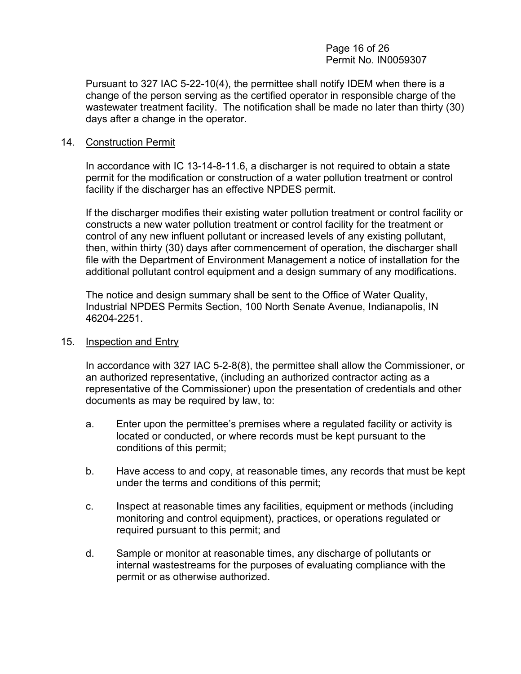#### Page 16 of 26 Permit No. IN0059307

Pursuant to 327 IAC 5-22-10(4), the permittee shall notify IDEM when there is a change of the person serving as the certified operator in responsible charge of the wastewater treatment facility. The notification shall be made no later than thirty (30) days after a change in the operator.

#### 14. Construction Permit

In accordance with IC 13-14-8-11.6, a discharger is not required to obtain a state permit for the modification or construction of a water pollution treatment or control facility if the discharger has an effective NPDES permit.

If the discharger modifies their existing water pollution treatment or control facility or constructs a new water pollution treatment or control facility for the treatment or control of any new influent pollutant or increased levels of any existing pollutant, then, within thirty (30) days after commencement of operation, the discharger shall file with the Department of Environment Management a notice of installation for the additional pollutant control equipment and a design summary of any modifications.

The notice and design summary shall be sent to the Office of Water Quality, Industrial NPDES Permits Section, 100 North Senate Avenue, Indianapolis, IN 46204-2251.

#### 15. Inspection and Entry

In accordance with 327 IAC 5-2-8(8), the permittee shall allow the Commissioner, or an authorized representative, (including an authorized contractor acting as a representative of the Commissioner) upon the presentation of credentials and other documents as may be required by law, to:

- a. Enter upon the permittee's premises where a regulated facility or activity is located or conducted, or where records must be kept pursuant to the conditions of this permit;
- b. Have access to and copy, at reasonable times, any records that must be kept under the terms and conditions of this permit;
- c. Inspect at reasonable times any facilities, equipment or methods (including monitoring and control equipment), practices, or operations regulated or required pursuant to this permit; and
- d. Sample or monitor at reasonable times, any discharge of pollutants or internal wastestreams for the purposes of evaluating compliance with the permit or as otherwise authorized.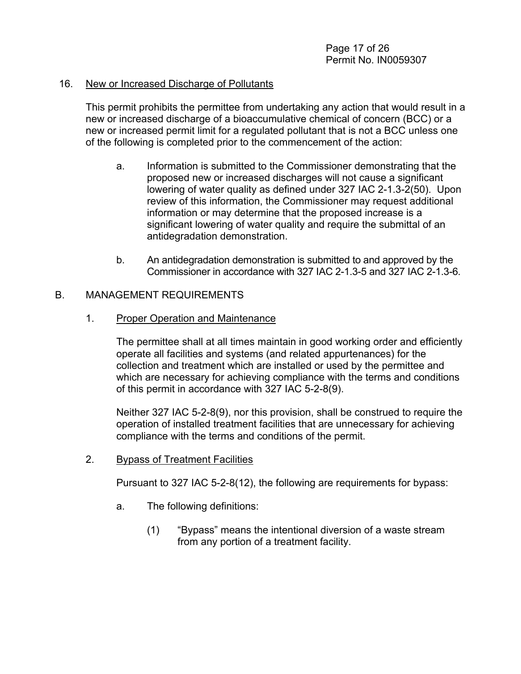#### 16. New or Increased Discharge of Pollutants

This permit prohibits the permittee from undertaking any action that would result in a new or increased discharge of a bioaccumulative chemical of concern (BCC) or a new or increased permit limit for a regulated pollutant that is not a BCC unless one of the following is completed prior to the commencement of the action:

- a. Information is submitted to the Commissioner demonstrating that the proposed new or increased discharges will not cause a significant lowering of water quality as defined under 327 IAC 2-1.3-2(50). Upon review of this information, the Commissioner may request additional information or may determine that the proposed increase is a significant lowering of water quality and require the submittal of an antidegradation demonstration.
- b. An antidegradation demonstration is submitted to and approved by the Commissioner in accordance with 327 IAC 2-1.3-5 and 327 IAC 2-1.3-6.

#### B. MANAGEMENT REQUIREMENTS

#### 1. Proper Operation and Maintenance

The permittee shall at all times maintain in good working order and efficiently operate all facilities and systems (and related appurtenances) for the collection and treatment which are installed or used by the permittee and which are necessary for achieving compliance with the terms and conditions of this permit in accordance with 327 IAC 5-2-8(9).

Neither 327 IAC 5-2-8(9), nor this provision, shall be construed to require the operation of installed treatment facilities that are unnecessary for achieving compliance with the terms and conditions of the permit.

#### 2. Bypass of Treatment Facilities

Pursuant to 327 IAC 5-2-8(12), the following are requirements for bypass:

- a. The following definitions:
	- (1) "Bypass" means the intentional diversion of a waste stream from any portion of a treatment facility.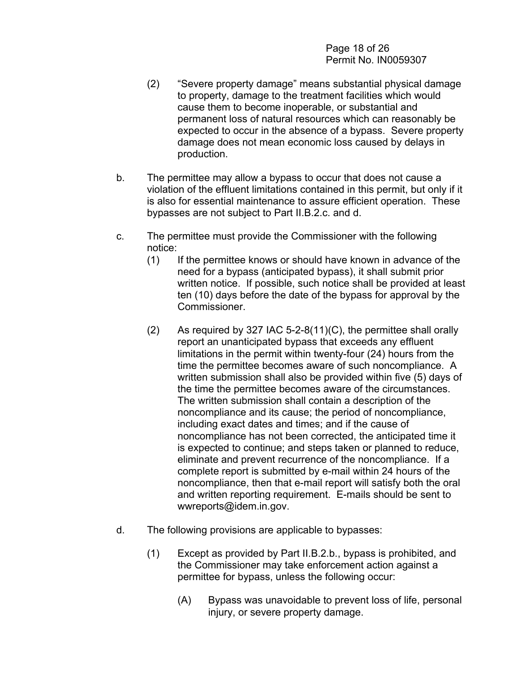Page 18 of 26 Permit No. IN0059307

- (2) "Severe property damage" means substantial physical damage to property, damage to the treatment facilities which would cause them to become inoperable, or substantial and permanent loss of natural resources which can reasonably be expected to occur in the absence of a bypass. Severe property damage does not mean economic loss caused by delays in production.
- b. The permittee may allow a bypass to occur that does not cause a violation of the effluent limitations contained in this permit, but only if it is also for essential maintenance to assure efficient operation. These bypasses are not subject to Part II.B.2.c. and d.
- c. The permittee must provide the Commissioner with the following notice:
	- (1) If the permittee knows or should have known in advance of the need for a bypass (anticipated bypass), it shall submit prior written notice. If possible, such notice shall be provided at least ten (10) days before the date of the bypass for approval by the Commissioner.
	- $(2)$  As required by 327 IAC 5-2-8(11)(C), the permittee shall orally report an unanticipated bypass that exceeds any effluent limitations in the permit within twenty-four (24) hours from the time the permittee becomes aware of such noncompliance. A written submission shall also be provided within five (5) days of the time the permittee becomes aware of the circumstances. The written submission shall contain a description of the noncompliance and its cause; the period of noncompliance, including exact dates and times; and if the cause of noncompliance has not been corrected, the anticipated time it is expected to continue; and steps taken or planned to reduce, eliminate and prevent recurrence of the noncompliance. If a complete report is submitted by e-mail within 24 hours of the noncompliance, then that e-mail report will satisfy both the oral and written reporting requirement. E-mails should be sent to wwreports@idem.in.gov.
- d. The following provisions are applicable to bypasses:
	- (1) Except as provided by Part II.B.2.b., bypass is prohibited, and the Commissioner may take enforcement action against a permittee for bypass, unless the following occur:
		- (A) Bypass was unavoidable to prevent loss of life, personal injury, or severe property damage.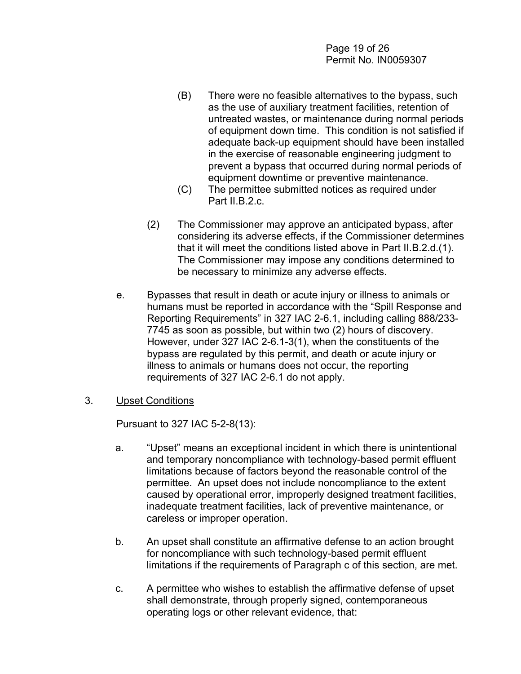- (B) There were no feasible alternatives to the bypass, such as the use of auxiliary treatment facilities, retention of untreated wastes, or maintenance during normal periods of equipment down time. This condition is not satisfied if adequate back-up equipment should have been installed in the exercise of reasonable engineering judgment to prevent a bypass that occurred during normal periods of equipment downtime or preventive maintenance.
- (C) The permittee submitted notices as required under Part II.B.2.c.
- (2) The Commissioner may approve an anticipated bypass, after considering its adverse effects, if the Commissioner determines that it will meet the conditions listed above in Part II.B.2.d.(1). The Commissioner may impose any conditions determined to be necessary to minimize any adverse effects.
- e. Bypasses that result in death or acute injury or illness to animals or humans must be reported in accordance with the "Spill Response and Reporting Requirements" in 327 IAC 2-6.1, including calling 888/233- 7745 as soon as possible, but within two (2) hours of discovery. However, under 327 IAC 2-6.1-3(1), when the constituents of the bypass are regulated by this permit, and death or acute injury or illness to animals or humans does not occur, the reporting requirements of 327 IAC 2-6.1 do not apply.
- 3. Upset Conditions

Pursuant to 327 IAC 5-2-8(13):

- a. "Upset" means an exceptional incident in which there is unintentional and temporary noncompliance with technology-based permit effluent limitations because of factors beyond the reasonable control of the permittee. An upset does not include noncompliance to the extent caused by operational error, improperly designed treatment facilities, inadequate treatment facilities, lack of preventive maintenance, or careless or improper operation.
- b. An upset shall constitute an affirmative defense to an action brought for noncompliance with such technology-based permit effluent limitations if the requirements of Paragraph c of this section, are met.
- c. A permittee who wishes to establish the affirmative defense of upset shall demonstrate, through properly signed, contemporaneous operating logs or other relevant evidence, that: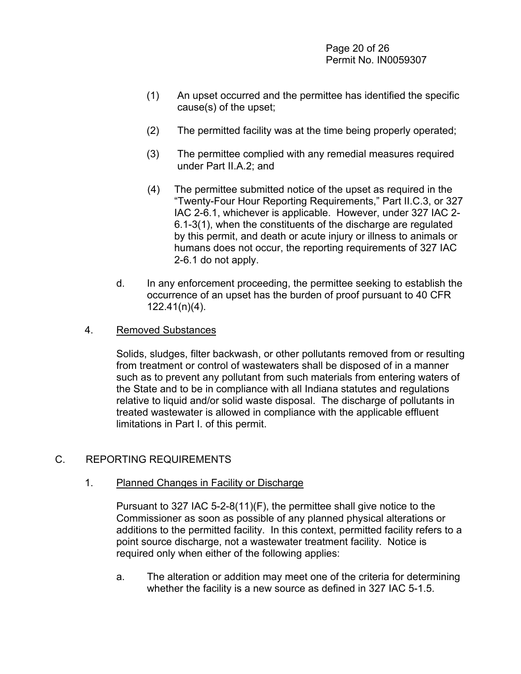Page 20 of 26 Permit No. IN0059307

- (1) An upset occurred and the permittee has identified the specific cause(s) of the upset;
- (2) The permitted facility was at the time being properly operated;
- (3) The permittee complied with any remedial measures required under Part II.A.2; and
- (4) The permittee submitted notice of the upset as required in the "Twenty-Four Hour Reporting Requirements," Part II.C.3, or 327 IAC 2-6.1, whichever is applicable. However, under 327 IAC 2- 6.1-3(1), when the constituents of the discharge are regulated by this permit, and death or acute injury or illness to animals or humans does not occur, the reporting requirements of 327 IAC 2-6.1 do not apply.
- d. In any enforcement proceeding, the permittee seeking to establish the occurrence of an upset has the burden of proof pursuant to 40 CFR 122.41(n)(4).

#### 4. Removed Substances

Solids, sludges, filter backwash, or other pollutants removed from or resulting from treatment or control of wastewaters shall be disposed of in a manner such as to prevent any pollutant from such materials from entering waters of the State and to be in compliance with all Indiana statutes and regulations relative to liquid and/or solid waste disposal. The discharge of pollutants in treated wastewater is allowed in compliance with the applicable effluent limitations in Part I. of this permit.

#### C. REPORTING REQUIREMENTS

#### 1. Planned Changes in Facility or Discharge

Pursuant to 327 IAC 5-2-8(11)(F), the permittee shall give notice to the Commissioner as soon as possible of any planned physical alterations or additions to the permitted facility. In this context, permitted facility refers to a point source discharge, not a wastewater treatment facility. Notice is required only when either of the following applies:

a. The alteration or addition may meet one of the criteria for determining whether the facility is a new source as defined in 327 IAC 5-1.5.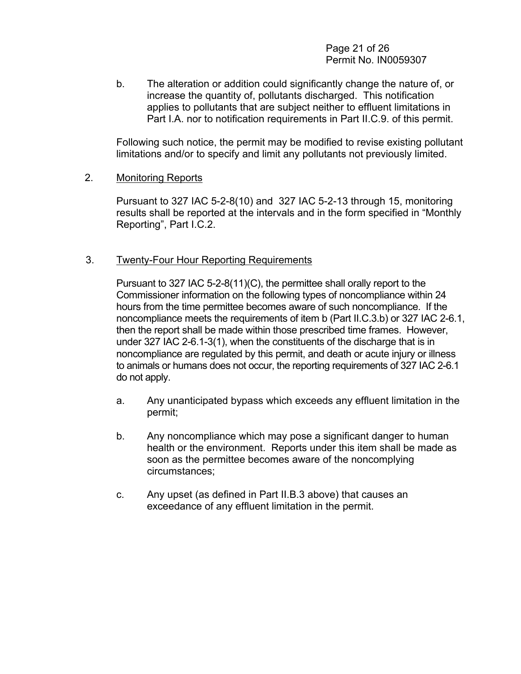Page 21 of 26 Permit No. IN0059307

b. The alteration or addition could significantly change the nature of, or increase the quantity of, pollutants discharged. This notification applies to pollutants that are subject neither to effluent limitations in Part I.A. nor to notification requirements in Part II.C.9. of this permit.

Following such notice, the permit may be modified to revise existing pollutant limitations and/or to specify and limit any pollutants not previously limited.

#### 2. Monitoring Reports

Pursuant to 327 IAC 5-2-8(10) and 327 IAC 5-2-13 through 15, monitoring results shall be reported at the intervals and in the form specified in "Monthly Reporting", Part I.C.2.

#### 3. Twenty-Four Hour Reporting Requirements

Pursuant to 327 IAC 5-2-8(11)(C), the permittee shall orally report to the Commissioner information on the following types of noncompliance within 24 hours from the time permittee becomes aware of such noncompliance. If the noncompliance meets the requirements of item b (Part II.C.3.b) or 327 IAC 2-6.1, then the report shall be made within those prescribed time frames. However, under 327 IAC 2-6.1-3(1), when the constituents of the discharge that is in noncompliance are regulated by this permit, and death or acute injury or illness to animals or humans does not occur, the reporting requirements of 327 IAC 2-6.1 do not apply.

- a. Any unanticipated bypass which exceeds any effluent limitation in the permit;
- b. Any noncompliance which may pose a significant danger to human health or the environment. Reports under this item shall be made as soon as the permittee becomes aware of the noncomplying circumstances;
- c. Any upset (as defined in Part II.B.3 above) that causes an exceedance of any effluent limitation in the permit.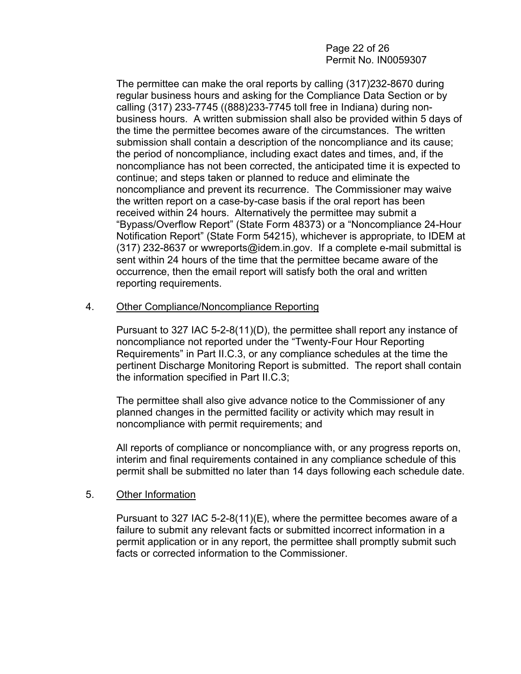#### Page 22 of 26 Permit No. IN0059307

The permittee can make the oral reports by calling (317)232-8670 during regular business hours and asking for the Compliance Data Section or by calling (317) 233-7745 ((888)233-7745 toll free in Indiana) during nonbusiness hours. A written submission shall also be provided within 5 days of the time the permittee becomes aware of the circumstances. The written submission shall contain a description of the noncompliance and its cause; the period of noncompliance, including exact dates and times, and, if the noncompliance has not been corrected, the anticipated time it is expected to continue; and steps taken or planned to reduce and eliminate the noncompliance and prevent its recurrence. The Commissioner may waive the written report on a case-by-case basis if the oral report has been received within 24 hours. Alternatively the permittee may submit a "Bypass/Overflow Report" (State Form 48373) or a "Noncompliance 24-Hour Notification Report" (State Form 54215), whichever is appropriate, to IDEM at (317) 232-8637 or wwreports@idem.in.gov. If a complete e-mail submittal is sent within 24 hours of the time that the permittee became aware of the occurrence, then the email report will satisfy both the oral and written reporting requirements.

#### 4. Other Compliance/Noncompliance Reporting

Pursuant to 327 IAC 5-2-8(11)(D), the permittee shall report any instance of noncompliance not reported under the "Twenty-Four Hour Reporting Requirements" in Part II.C.3, or any compliance schedules at the time the pertinent Discharge Monitoring Report is submitted. The report shall contain the information specified in Part II.C.3;

The permittee shall also give advance notice to the Commissioner of any planned changes in the permitted facility or activity which may result in noncompliance with permit requirements; and

All reports of compliance or noncompliance with, or any progress reports on, interim and final requirements contained in any compliance schedule of this permit shall be submitted no later than 14 days following each schedule date.

#### 5. Other Information

Pursuant to 327 IAC 5-2-8(11)(E), where the permittee becomes aware of a failure to submit any relevant facts or submitted incorrect information in a permit application or in any report, the permittee shall promptly submit such facts or corrected information to the Commissioner.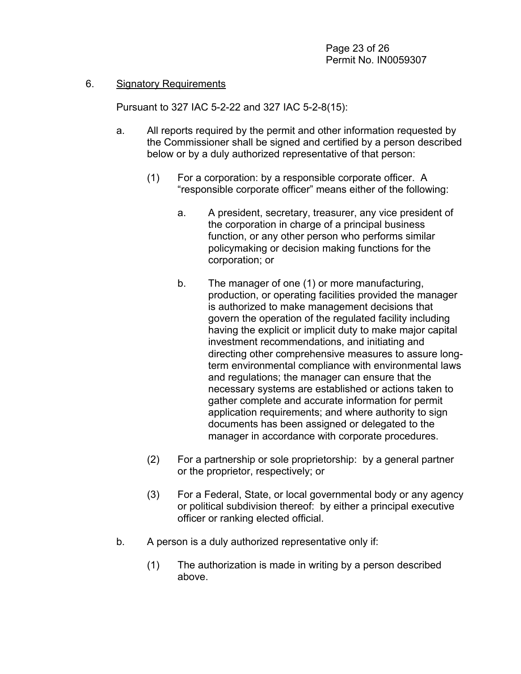#### 6. Signatory Requirements

Pursuant to 327 IAC 5-2-22 and 327 IAC 5-2-8(15):

- a. All reports required by the permit and other information requested by the Commissioner shall be signed and certified by a person described below or by a duly authorized representative of that person:
	- (1) For a corporation: by a responsible corporate officer. A "responsible corporate officer" means either of the following:
		- a. A president, secretary, treasurer, any vice president of the corporation in charge of a principal business function, or any other person who performs similar policymaking or decision making functions for the corporation; or
		- b. The manager of one (1) or more manufacturing, production, or operating facilities provided the manager is authorized to make management decisions that govern the operation of the regulated facility including having the explicit or implicit duty to make major capital investment recommendations, and initiating and directing other comprehensive measures to assure longterm environmental compliance with environmental laws and regulations; the manager can ensure that the necessary systems are established or actions taken to gather complete and accurate information for permit application requirements; and where authority to sign documents has been assigned or delegated to the manager in accordance with corporate procedures.
	- (2) For a partnership or sole proprietorship: by a general partner or the proprietor, respectively; or
	- (3) For a Federal, State, or local governmental body or any agency or political subdivision thereof: by either a principal executive officer or ranking elected official.
- b. A person is a duly authorized representative only if:
	- (1) The authorization is made in writing by a person described above.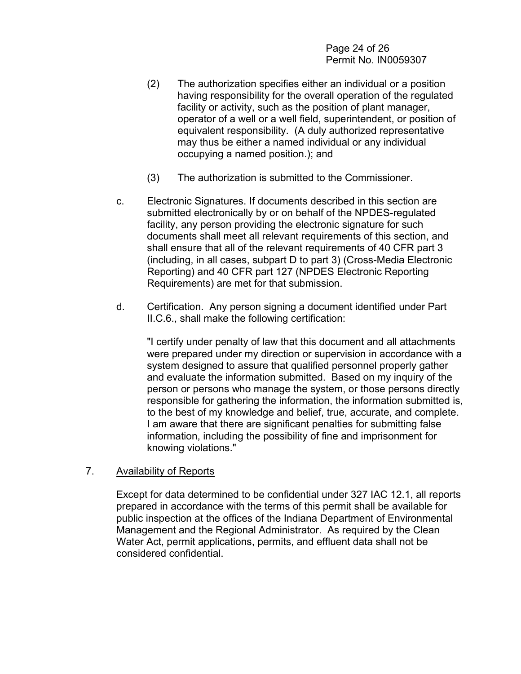Page 24 of 26 Permit No. IN0059307

- (2) The authorization specifies either an individual or a position having responsibility for the overall operation of the regulated facility or activity, such as the position of plant manager, operator of a well or a well field, superintendent, or position of equivalent responsibility. (A duly authorized representative may thus be either a named individual or any individual occupying a named position.); and
- (3) The authorization is submitted to the Commissioner.
- c. Electronic Signatures. If documents described in this section are submitted electronically by or on behalf of the NPDES-regulated facility, any person providing the electronic signature for such documents shall meet all relevant requirements of this section, and shall ensure that all of the relevant requirements of 40 CFR part 3 (including, in all cases, subpart D to part 3) (Cross-Media Electronic Reporting) and 40 CFR part 127 (NPDES Electronic Reporting Requirements) are met for that submission.
- d. Certification. Any person signing a document identified under Part II.C.6., shall make the following certification:

"I certify under penalty of law that this document and all attachments were prepared under my direction or supervision in accordance with a system designed to assure that qualified personnel properly gather and evaluate the information submitted. Based on my inquiry of the person or persons who manage the system, or those persons directly responsible for gathering the information, the information submitted is, to the best of my knowledge and belief, true, accurate, and complete. I am aware that there are significant penalties for submitting false information, including the possibility of fine and imprisonment for knowing violations."

#### 7. Availability of Reports

Except for data determined to be confidential under 327 IAC 12.1, all reports prepared in accordance with the terms of this permit shall be available for public inspection at the offices of the Indiana Department of Environmental Management and the Regional Administrator. As required by the Clean Water Act, permit applications, permits, and effluent data shall not be considered confidential.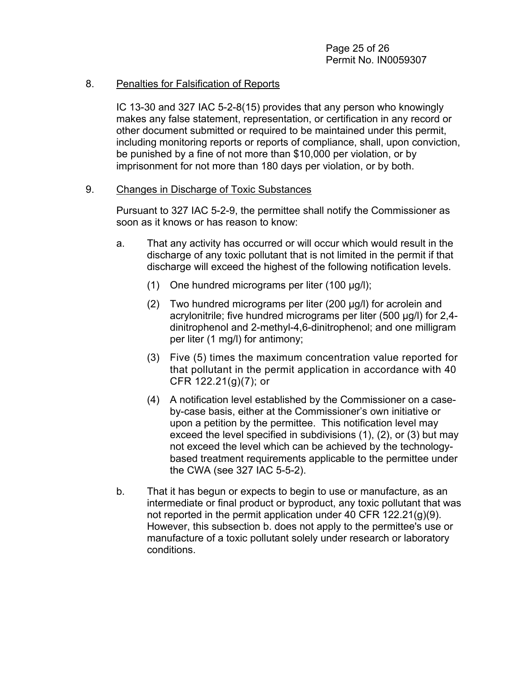#### 8. Penalties for Falsification of Reports

IC 13-30 and 327 IAC 5-2-8(15) provides that any person who knowingly makes any false statement, representation, or certification in any record or other document submitted or required to be maintained under this permit, including monitoring reports or reports of compliance, shall, upon conviction, be punished by a fine of not more than \$10,000 per violation, or by imprisonment for not more than 180 days per violation, or by both.

#### 9. Changes in Discharge of Toxic Substances

Pursuant to 327 IAC 5-2-9, the permittee shall notify the Commissioner as soon as it knows or has reason to know:

- a. That any activity has occurred or will occur which would result in the discharge of any toxic pollutant that is not limited in the permit if that discharge will exceed the highest of the following notification levels.
	- (1) One hundred micrograms per liter (100 µg/l);
	- (2) Two hundred micrograms per liter (200 µg/l) for acrolein and acrylonitrile; five hundred micrograms per liter (500 µg/l) for 2,4 dinitrophenol and 2-methyl-4,6-dinitrophenol; and one milligram per liter (1 mg/l) for antimony;
	- (3) Five (5) times the maximum concentration value reported for that pollutant in the permit application in accordance with 40 CFR 122.21(g)(7); or
	- (4) A notification level established by the Commissioner on a caseby-case basis, either at the Commissioner's own initiative or upon a petition by the permittee. This notification level may exceed the level specified in subdivisions (1), (2), or (3) but may not exceed the level which can be achieved by the technologybased treatment requirements applicable to the permittee under the CWA (see 327 IAC 5-5-2).
- b. That it has begun or expects to begin to use or manufacture, as an intermediate or final product or byproduct, any toxic pollutant that was not reported in the permit application under 40 CFR 122.21(g)(9). However, this subsection b. does not apply to the permittee's use or manufacture of a toxic pollutant solely under research or laboratory conditions.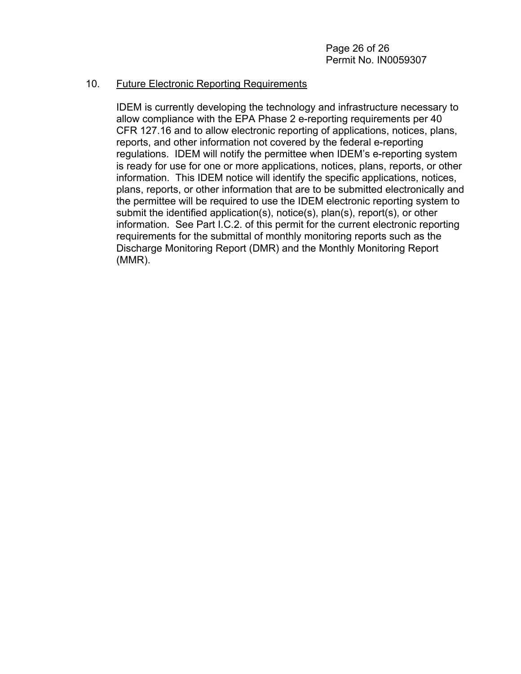#### 10. Future Electronic Reporting Requirements

IDEM is currently developing the technology and infrastructure necessary to allow compliance with the EPA Phase 2 e-reporting requirements per 40 CFR 127.16 and to allow electronic reporting of applications, notices, plans, reports, and other information not covered by the federal e-reporting regulations. IDEM will notify the permittee when IDEM's e-reporting system is ready for use for one or more applications, notices, plans, reports, or other information. This IDEM notice will identify the specific applications, notices, plans, reports, or other information that are to be submitted electronically and the permittee will be required to use the IDEM electronic reporting system to submit the identified application(s), notice(s), plan(s), report(s), or other information. See Part I.C.2. of this permit for the current electronic reporting requirements for the submittal of monthly monitoring reports such as the Discharge Monitoring Report (DMR) and the Monthly Monitoring Report (MMR).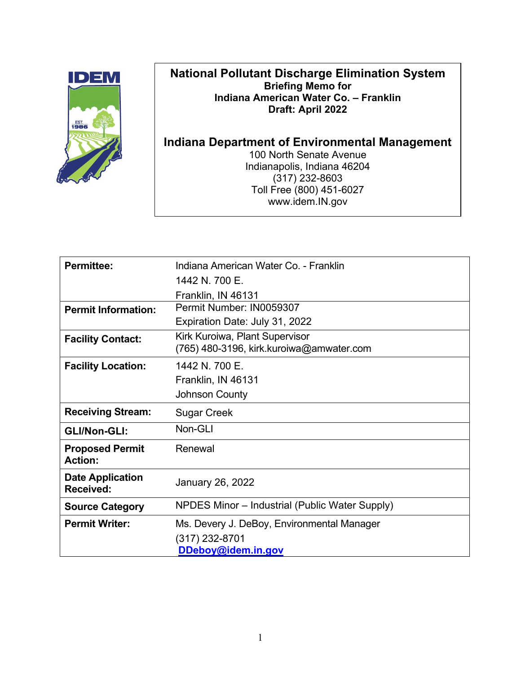

# **National Pollutant Discharge Elimination System Briefing Memo for Indiana American Water Co. – Franklin Draft: April 2022**

**Indiana Department of Environmental Management** 100 North Senate Avenue Indianapolis, Indiana 46204 (317) 232-8603 Toll Free (800) 451-6027 www.idem.IN.gov

| <b>Permittee:</b>                        | Indiana American Water Co. - Franklin                                      |  |  |  |
|------------------------------------------|----------------------------------------------------------------------------|--|--|--|
|                                          | 1442 N. 700 E.                                                             |  |  |  |
|                                          | Franklin, IN 46131                                                         |  |  |  |
| <b>Permit Information:</b>               | Permit Number: IN0059307                                                   |  |  |  |
|                                          | Expiration Date: July 31, 2022                                             |  |  |  |
| <b>Facility Contact:</b>                 | Kirk Kuroiwa, Plant Supervisor<br>(765) 480-3196, kirk.kuroiwa@amwater.com |  |  |  |
| <b>Facility Location:</b>                | 1442 N. 700 E.                                                             |  |  |  |
|                                          | Franklin, IN 46131                                                         |  |  |  |
|                                          | <b>Johnson County</b>                                                      |  |  |  |
| <b>Receiving Stream:</b>                 | <b>Sugar Creek</b>                                                         |  |  |  |
| <b>GLI/Non-GLI:</b>                      | Non-GLI                                                                    |  |  |  |
| <b>Proposed Permit</b><br><b>Action:</b> | Renewal                                                                    |  |  |  |
| <b>Date Application</b><br>Received:     | <b>January 26, 2022</b>                                                    |  |  |  |
| <b>Source Category</b>                   | NPDES Minor - Industrial (Public Water Supply)                             |  |  |  |
| <b>Permit Writer:</b>                    | Ms. Devery J. DeBoy, Environmental Manager                                 |  |  |  |
|                                          | (317) 232-8701                                                             |  |  |  |
|                                          | DDeboy@idem.in.gov                                                         |  |  |  |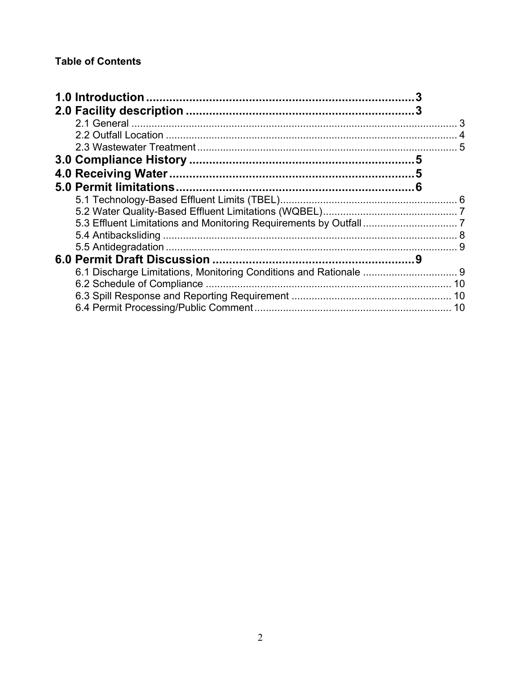# **Table of Contents**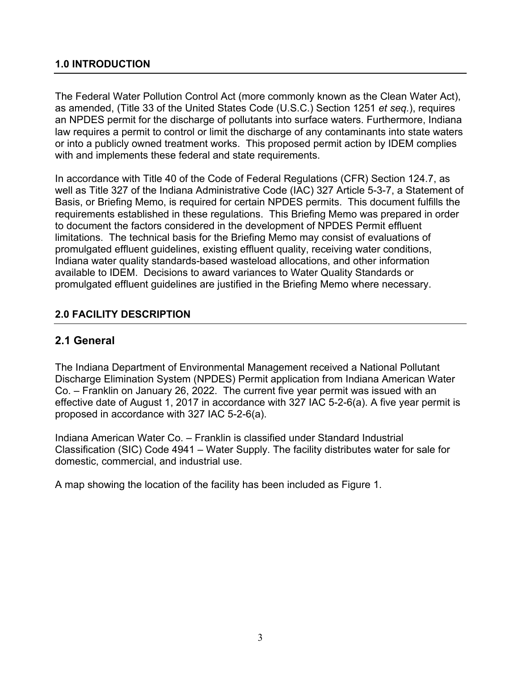### <span id="page-30-0"></span>**1.0 INTRODUCTION**

The Federal Water Pollution Control Act (more commonly known as the Clean Water Act), as amended, (Title 33 of the United States Code (U.S.C.) Section 1251 *et seq.*), requires an NPDES permit for the discharge of pollutants into surface waters. Furthermore, Indiana law requires a permit to control or limit the discharge of any contaminants into state waters or into a publicly owned treatment works. This proposed permit action by IDEM complies with and implements these federal and state requirements.

In accordance with Title 40 of the Code of Federal Regulations (CFR) Section 124.7, as well as Title 327 of the Indiana Administrative Code (IAC) 327 Article 5-3-7, a Statement of Basis, or Briefing Memo, is required for certain NPDES permits. This document fulfills the requirements established in these regulations. This Briefing Memo was prepared in order to document the factors considered in the development of NPDES Permit effluent limitations. The technical basis for the Briefing Memo may consist of evaluations of promulgated effluent guidelines, existing effluent quality, receiving water conditions, Indiana water quality standards-based wasteload allocations, and other information available to IDEM. Decisions to award variances to Water Quality Standards or promulgated effluent guidelines are justified in the Briefing Memo where necessary.

# <span id="page-30-1"></span>**2.0 FACILITY DESCRIPTION**

# <span id="page-30-2"></span>**2.1 General**

The Indiana Department of Environmental Management received a National Pollutant Discharge Elimination System (NPDES) Permit application from Indiana American Water Co. – Franklin on January 26, 2022. The current five year permit was issued with an effective date of August 1, 2017 in accordance with 327 IAC 5-2-6(a). A five year permit is proposed in accordance with 327 IAC 5-2-6(a).

Indiana American Water Co. – Franklin is classified under Standard Industrial Classification (SIC) Code 4941 – Water Supply. The facility distributes water for sale for domestic, commercial, and industrial use.

A map showing the location of the facility has been included as Figure 1.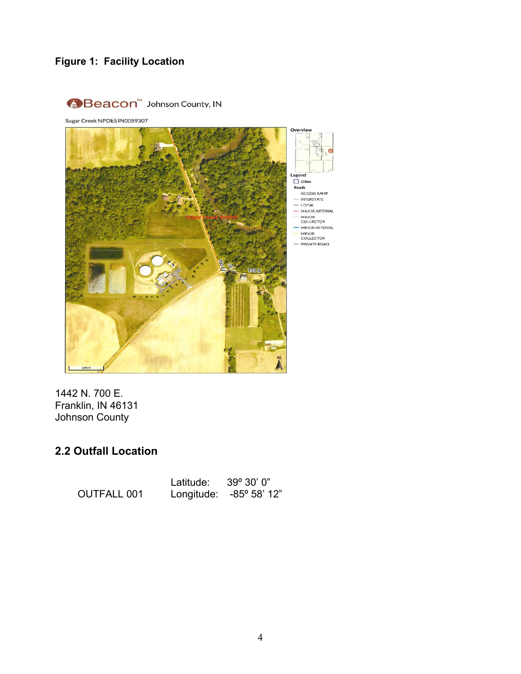# **Figure 1: Facility Location**



1442 N. 700 E. Franklin, IN 46131 Johnson County

# <span id="page-31-0"></span>**2.2 Outfall Location**

|                    | Latitude: $39^{\circ} 30' 0''$ |                         |
|--------------------|--------------------------------|-------------------------|
| <b>OUTFALL 001</b> |                                | Longitude: -85° 58' 12" |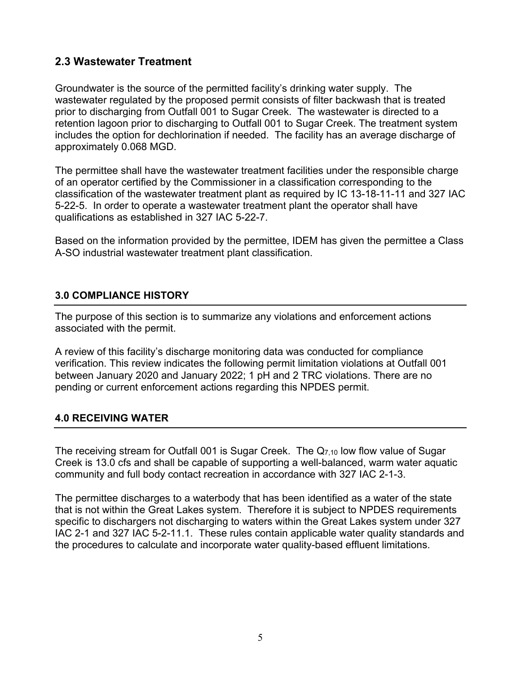# <span id="page-32-0"></span>**2.3 Wastewater Treatment**

Groundwater is the source of the permitted facility's drinking water supply. The wastewater regulated by the proposed permit consists of filter backwash that is treated prior to discharging from Outfall 001 to Sugar Creek. The wastewater is directed to a retention lagoon prior to discharging to Outfall 001 to Sugar Creek. The treatment system includes the option for dechlorination if needed. The facility has an average discharge of approximately 0.068 MGD.

The permittee shall have the wastewater treatment facilities under the responsible charge of an operator certified by the Commissioner in a classification corresponding to the classification of the wastewater treatment plant as required by IC 13-18-11-11 and 327 IAC 5-22-5. In order to operate a wastewater treatment plant the operator shall have qualifications as established in 327 IAC 5-22-7.

Based on the information provided by the permittee, IDEM has given the permittee a Class A-SO industrial wastewater treatment plant classification.

### <span id="page-32-1"></span>**3.0 COMPLIANCE HISTORY**

The purpose of this section is to summarize any violations and enforcement actions associated with the permit.

A review of this facility's discharge monitoring data was conducted for compliance verification. This review indicates the following permit limitation violations at Outfall 001 between January 2020 and January 2022; 1 pH and 2 TRC violations. There are no pending or current enforcement actions regarding this NPDES permit.

#### <span id="page-32-2"></span>**4.0 RECEIVING WATER**

The receiving stream for Outfall 001 is Sugar Creek. The  $Q<sub>7,10</sub>$  low flow value of Sugar Creek is 13.0 cfs and shall be capable of supporting a well-balanced, warm water aquatic community and full body contact recreation in accordance with 327 IAC 2-1-3.

The permittee discharges to a waterbody that has been identified as a water of the state that is not within the Great Lakes system. Therefore it is subject to NPDES requirements specific to dischargers not discharging to waters within the Great Lakes system under 327 IAC 2-1 and 327 IAC 5-2-11.1. These rules contain applicable water quality standards and the procedures to calculate and incorporate water quality-based effluent limitations.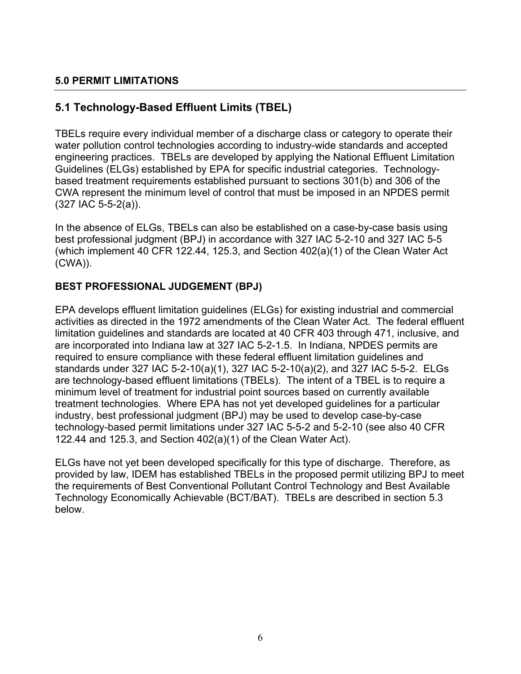# <span id="page-33-0"></span>**5.0 PERMIT LIMITATIONS**

# <span id="page-33-1"></span>**5.1 Technology-Based Effluent Limits (TBEL)**

TBELs require every individual member of a discharge class or category to operate their water pollution control technologies according to industry-wide standards and accepted engineering practices. TBELs are developed by applying the National Effluent Limitation Guidelines (ELGs) established by EPA for specific industrial categories. Technologybased treatment requirements established pursuant to sections 301(b) and 306 of the CWA represent the minimum level of control that must be imposed in an NPDES permit (327 IAC 5-5-2(a)).

In the absence of ELGs, TBELs can also be established on a case-by-case basis using best professional judgment (BPJ) in accordance with 327 IAC 5-2-10 and 327 IAC 5-5 (which implement 40 CFR 122.44, 125.3, and Section 402(a)(1) of the Clean Water Act (CWA)).

# **BEST PROFESSIONAL JUDGEMENT (BPJ)**

EPA develops effluent limitation guidelines (ELGs) for existing industrial and commercial activities as directed in the 1972 amendments of the Clean Water Act. The federal effluent limitation guidelines and standards are located at 40 CFR 403 through 471, inclusive, and are incorporated into Indiana law at 327 IAC 5-2-1.5. In Indiana, NPDES permits are required to ensure compliance with these federal effluent limitation guidelines and standards under 327 IAC 5-2-10(a)(1), 327 IAC 5-2-10(a)(2), and 327 IAC 5-5-2. ELGs are technology-based effluent limitations (TBELs). The intent of a TBEL is to require a minimum level of treatment for industrial point sources based on currently available treatment technologies. Where EPA has not yet developed guidelines for a particular industry, best professional judgment (BPJ) may be used to develop case-by-case technology-based permit limitations under 327 IAC 5-5-2 and 5-2-10 (see also 40 CFR 122.44 and 125.3, and Section 402(a)(1) of the Clean Water Act).

ELGs have not yet been developed specifically for this type of discharge. Therefore, as provided by law, IDEM has established TBELs in the proposed permit utilizing BPJ to meet the requirements of Best Conventional Pollutant Control Technology and Best Available Technology Economically Achievable (BCT/BAT). TBELs are described in section 5.3 below.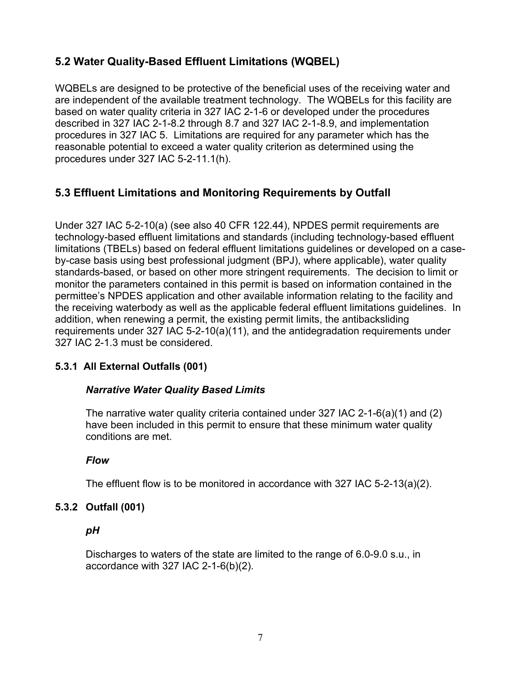# <span id="page-34-0"></span>**5.2 Water Quality-Based Effluent Limitations (WQBEL)**

WQBELs are designed to be protective of the beneficial uses of the receiving water and are independent of the available treatment technology. The WQBELs for this facility are based on water quality criteria in 327 IAC 2-1-6 or developed under the procedures described in 327 IAC 2-1-8.2 through 8.7 and 327 IAC 2-1-8.9, and implementation procedures in 327 IAC 5. Limitations are required for any parameter which has the reasonable potential to exceed a water quality criterion as determined using the procedures under 327 IAC 5-2-11.1(h).

# <span id="page-34-1"></span>**5.3 Effluent Limitations and Monitoring Requirements by Outfall**

Under 327 IAC 5-2-10(a) (see also 40 CFR 122.44), NPDES permit requirements are technology-based effluent limitations and standards (including technology-based effluent limitations (TBELs) based on federal effluent limitations guidelines or developed on a caseby-case basis using best professional judgment (BPJ), where applicable), water quality standards-based, or based on other more stringent requirements. The decision to limit or monitor the parameters contained in this permit is based on information contained in the permittee's NPDES application and other available information relating to the facility and the receiving waterbody as well as the applicable federal effluent limitations guidelines. In addition, when renewing a permit, the existing permit limits, the antibacksliding requirements under 327 IAC 5-2-10(a)(11), and the antidegradation requirements under 327 IAC 2-1.3 must be considered.

# **5.3.1 All External Outfalls (001)**

#### *Narrative Water Quality Based Limits*

The narrative water quality criteria contained under 327 IAC 2-1-6(a)(1) and (2) have been included in this permit to ensure that these minimum water quality conditions are met.

#### *Flow*

The effluent flow is to be monitored in accordance with 327 IAC 5-2-13(a)(2).

#### **5.3.2 Outfall (001)**

#### *pH*

Discharges to waters of the state are limited to the range of 6.0-9.0 s.u., in accordance with 327 IAC 2-1-6(b)(2).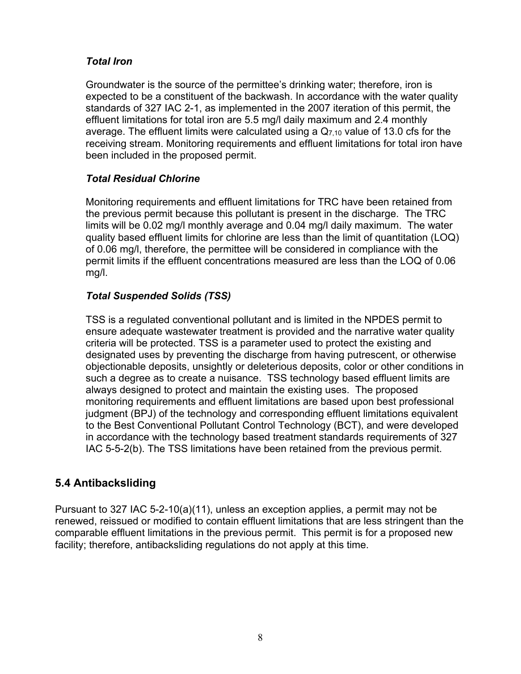# *Total Iron*

Groundwater is the source of the permittee's drinking water; therefore, iron is expected to be a constituent of the backwash. In accordance with the water quality standards of 327 IAC 2-1, as implemented in the 2007 iteration of this permit, the effluent limitations for total iron are 5.5 mg/l daily maximum and 2.4 monthly average. The effluent limits were calculated using a  $Q<sub>7,10</sub>$  value of 13.0 cfs for the receiving stream. Monitoring requirements and effluent limitations for total iron have been included in the proposed permit.

# *Total Residual Chlorine*

Monitoring requirements and effluent limitations for TRC have been retained from the previous permit because this pollutant is present in the discharge. The TRC limits will be 0.02 mg/l monthly average and 0.04 mg/l daily maximum. The water quality based effluent limits for chlorine are less than the limit of quantitation (LOQ) of 0.06 mg/l, therefore, the permittee will be considered in compliance with the permit limits if the effluent concentrations measured are less than the LOQ of 0.06 mg/l.

# *Total Suspended Solids (TSS)*

TSS is a regulated conventional pollutant and is limited in the NPDES permit to ensure adequate wastewater treatment is provided and the narrative water quality criteria will be protected. TSS is a parameter used to protect the existing and designated uses by preventing the discharge from having putrescent, or otherwise objectionable deposits, unsightly or deleterious deposits, color or other conditions in such a degree as to create a nuisance. TSS technology based effluent limits are always designed to protect and maintain the existing uses. The proposed monitoring requirements and effluent limitations are based upon best professional judgment (BPJ) of the technology and corresponding effluent limitations equivalent to the Best Conventional Pollutant Control Technology (BCT), and were developed in accordance with the technology based treatment standards requirements of 327 IAC 5-5-2(b). The TSS limitations have been retained from the previous permit.

# <span id="page-35-0"></span>**5.4 Antibacksliding**

Pursuant to 327 IAC 5-2-10(a)(11), unless an exception applies, a permit may not be renewed, reissued or modified to contain effluent limitations that are less stringent than the comparable effluent limitations in the previous permit. This permit is for a proposed new facility; therefore, antibacksliding regulations do not apply at this time.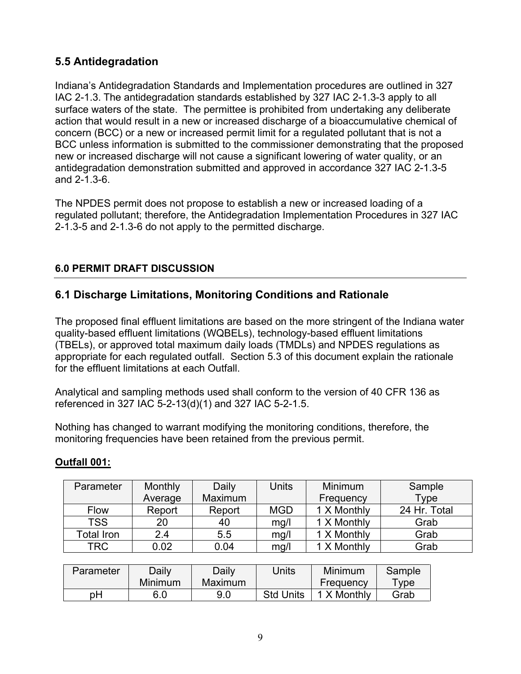# <span id="page-36-0"></span>**5.5 Antidegradation**

Indiana's Antidegradation Standards and Implementation procedures are outlined in 327 IAC 2-1.3. The antidegradation standards established by 327 IAC 2-1.3-3 apply to all surface waters of the state. The permittee is prohibited from undertaking any deliberate action that would result in a new or increased discharge of a bioaccumulative chemical of concern (BCC) or a new or increased permit limit for a regulated pollutant that is not a BCC unless information is submitted to the commissioner demonstrating that the proposed new or increased discharge will not cause a significant lowering of water quality, or an antidegradation demonstration submitted and approved in accordance 327 IAC 2-1.3-5 and 2-1.3-6.

The NPDES permit does not propose to establish a new or increased loading of a regulated pollutant; therefore, the Antidegradation Implementation Procedures in 327 IAC 2-1.3-5 and 2-1.3-6 do not apply to the permitted discharge.

# <span id="page-36-1"></span>**6.0 PERMIT DRAFT DISCUSSION**

# <span id="page-36-2"></span>**6.1 Discharge Limitations, Monitoring Conditions and Rationale**

The proposed final effluent limitations are based on the more stringent of the Indiana water quality-based effluent limitations (WQBELs), technology-based effluent limitations (TBELs), or approved total maximum daily loads (TMDLs) and NPDES regulations as appropriate for each regulated outfall. Section 5.3 of this document explain the rationale for the effluent limitations at each Outfall.

Analytical and sampling methods used shall conform to the version of 40 CFR 136 as referenced in 327 IAC 5-2-13(d)(1) and 327 IAC 5-2-1.5.

Nothing has changed to warrant modifying the monitoring conditions, therefore, the monitoring frequencies have been retained from the previous permit.

# **Outfall 001:**

| Parameter   | <b>Monthly</b> | Daily   | Units      | Minimum     | Sample       |
|-------------|----------------|---------|------------|-------------|--------------|
|             | Average        | Maximum |            | Frequency   | Type         |
| <b>Flow</b> | Report         | Report  | <b>MGD</b> | 1 X Monthly | 24 Hr. Total |
| <b>TSS</b>  | 20             | 40      | mg/l       | 1 X Monthly | Grab         |
| Total Iron  | 2.4            | 5.5     | mg/l       | 1 X Monthly | Grab         |
| TRC         | 0.02           | 0.04    | mg/l       | 1 X Monthly | Grab         |

| Parameter | Daily   | Daily   | Jnits            | <b>Minimum</b> | Sample         |
|-----------|---------|---------|------------------|----------------|----------------|
|           | Minimum | Maximum |                  | Frequency      | $\mathsf{vpe}$ |
| pН        |         | 9.0     | <b>Std Units</b> | X Monthly      | Grab           |